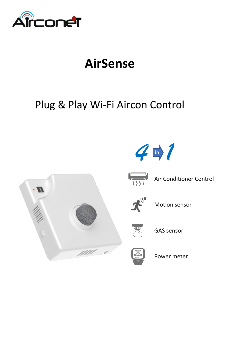

# **AirSense**

## Plug & Play Wi-Fi Aircon Control





 $\overline{\overline{\overline{555}}}$ 

Air Conditioner Control



Motion sensor



GAS sensor



Power meter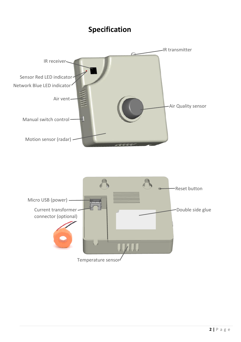#### **Specification**

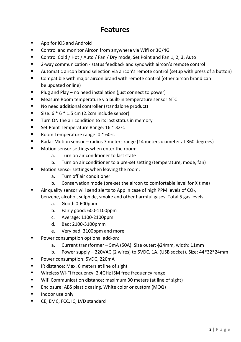#### **Features**

- App for iOS and Android
- Control and monitor Aircon from anywhere via Wifi or 3G/4G
- Control Cold / Hot / Auto / Fan / Dry mode, Set Point and Fan 1, 2, 3, Auto
- 2-way communication status feedback and sync with aircon's remote control
- Automatic aircon brand selection via aircon's remote control (setup with press of a button)
- Compatible with major aircon brand with remote control (other aircon brand can be updated online)
- Plug and Play no need installation (just connect to power)
- Measure Room temperature via built-in temperature sensor NTC
- No need additional controller (standalone product)
- Size:  $6 * 6 * 1.5$  cm (2.2cm include sensor)
- Turn ON the air condition to its last status in memory
- Set Point Temperature Range:  $16 \approx 32$ °C
- Room Temperature range:  $0 \approx 60^{\circ}c$
- Radar Motion sensor radius 7 meters range (14 meters diameter at 360 degrees)
	- Motion sensor settings when enter the room:
		- a. Turn on air conditioner to last state
		- b. Turn on air conditioner to a pre-set setting (temperature, mode, fan)
- Motion sensor settings when leaving the room:
	- a. Turn off air conditioner
	- b. Conservation mode (pre-set the aircon to comfortable level for X time)
- **E** Air quality sensor will send alerts to App in case of high PPM levels of  $CO<sub>2</sub>$ . benzene, alcohol, sulphide, smoke and other harmful gases. Total 5 gas levels:
	- a. Good: 0-600ppm
	- b. Fairly good: 600-1100ppm
	- c. Average: 1100-2100ppm
	- d. Bad: 2100-3100pmm
	- e. Very bad: 3100ppm and more
- Power consumption optional add-on:
	- a. Current transformer 5mA (50A). Size outer:  $\phi$ 24mm, width: 11mm
	- b. Power supply 220VAC (2 wires) to 5VDC, 1A. (USB socket). Size: 44\*32\*24mm
- Power consumption: 5VDC, 220mA
- IR distance: Max. 6 meters at line of sight
- Wireless Wi-Fi frequency: 2.4GHz ISM free frequency range
- Wifi Communication distance: maximum 30 meters (at line of sight)
- Enclosure: ABS plastic casing. White color or custom (MOQ)
- Indoor use only
- CE, EMC, FCC, IC, LVD standard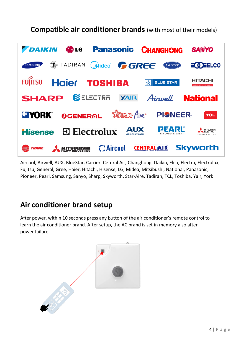**Compatible air conditioner brands** (with most of their models)



Aircool, Airwell, AUX, BlueStar, Carrier, Cetnral Air, Changhong, Daikin, Elco, Electra, Electrolux, Fujitsu, General, Gree, Haier, Hitachi, Hisense, LG, Midea, Mitsibushi, National, Panasonic, Pioneer, Pearl, Samsung, Sanyo, Sharp, Skyworth, Star-Aire, Tadiran, TCL, Toshiba, Yair, York

#### **Air conditioner brand setup**

After power, within 10 seconds press any button of the air conditioner's remote control to learn the air conditioner brand. After setup, the AC brand is set in memory also after power failure.

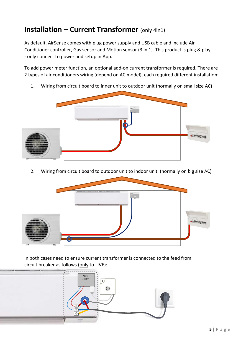## **Installation – Current Transformer** (only 4in1)

As default, AirSense comes with plug power supply and USB cable and include Air Conditioner controller, Gas sensor and Motion sensor (3 in 1). This product is plug & play - only connect to power and setup in App.

To add power meter function, an optional add-on current transformer is required. There are 2 types of air conditioners wiring (depend on AC model), each required different installation:

1. Wiring from circuit board to inner unit to outdoor unit (normally on small size AC)



2. Wiring from circuit board to outdoor unit to indoor unit (normally on big size AC)



In both cases need to ensure current transformer is connected to the feed from circuit breaker as follows (only to LIVE):

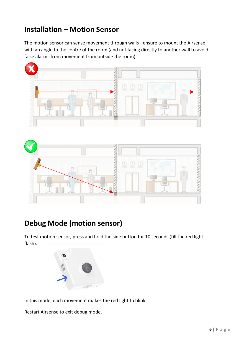## **Installation – Motion Sensor**

The motion sensor can sense movement through walls - ensure to mount the Airsense with an angle to the centre of the room (and not facing directly to another wall to avoid false alarms from movement from outside the room)





### **Debug Mode (motion sensor)**

To test motion sensor, press and hold the side button for 10 seconds (till the red light flash).



In this mode, each movement makes the red light to blink.

Restart Airsense to exit debug mode.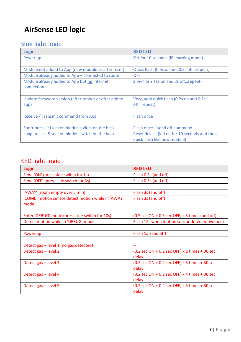## **AirSense LED logic**

#### Blue light logic

| Logic                                                         | <b>RED LED</b>                                                               |  |  |
|---------------------------------------------------------------|------------------------------------------------------------------------------|--|--|
| Power up                                                      | ON for 10 seconds (IR learning mode)                                         |  |  |
|                                                               |                                                                              |  |  |
| Module not added to App (new module or after reset)           | Quick flash (0.5s on and 0.5s offrepeat)                                     |  |  |
| Module already added to App + connected to router             | OFF                                                                          |  |  |
| Module already added to App but no internet<br>connection     | Slow flash (1s on and 2s off repeat)                                         |  |  |
|                                                               |                                                                              |  |  |
| Update firmware version (after reboot or after add to<br>app) | Very, very quick flash (0.2s on and 0.2s)<br>offrepeat)                      |  |  |
|                                                               |                                                                              |  |  |
| Receive / Transmit command from App                           | <b>Flash once</b>                                                            |  |  |
|                                                               |                                                                              |  |  |
| Short press (~1sec) on hidden switch on the back              | Flash once + send off command                                                |  |  |
| Long press ( $\sim$ 5 sec) on hidden switch on the back       | Reset device (led on for 10 seconds and then<br>quick flash like new module) |  |  |

#### RED light logic

| Logic                                                       | <b>RED LED</b>                                                                                |  |  |  |
|-------------------------------------------------------------|-----------------------------------------------------------------------------------------------|--|--|--|
| Send 'ON' (press side switch for 1s)                        | Flash 0.5s (and off)                                                                          |  |  |  |
| Send 'OFF' (press side switch for 3s)                       | Flash 0.5s (and off)                                                                          |  |  |  |
|                                                             |                                                                                               |  |  |  |
| 'AWAY' (room empty over 5 min)                              | Flash 3s (and off)                                                                            |  |  |  |
| 'COME (motion sensor detect motion while in 'AWAY'<br>mode) | Flash 3s (and off)                                                                            |  |  |  |
|                                                             |                                                                                               |  |  |  |
| Enter 'DEBUG' mode (press side switch for 10s)              | $(0.5 \text{ sec ON} + 0.5 \text{ sec OFF}) \times 3 \text{ times (and off)}$                 |  |  |  |
| Detect motion while in 'DEBUG' mode                         | Flash ~2s when motion sensor detect movement                                                  |  |  |  |
|                                                             |                                                                                               |  |  |  |
| Power up                                                    | Flash 1s (and off)                                                                            |  |  |  |
|                                                             |                                                                                               |  |  |  |
| Detect gas – level 1 (no gas detected)                      | $-$                                                                                           |  |  |  |
| Detect gas - level 2                                        | $(0.2 \text{ sec ON} + 0.2 \text{ sec OFF}) \times 2 \text{ times} + 30 \text{ sec}$<br>delay |  |  |  |
| Detect gas - level 3                                        | $(0.2 \text{ sec ON} + 0.2 \text{ sec OFF}) \times 3 \text{ times} + 30 \text{ sec}$<br>delay |  |  |  |
| Detect gas - level 4                                        | $(0.2 \text{ sec ON} + 0.2 \text{ sec OFF}) \times 4 \text{ times} + 30 \text{ sec}$<br>delay |  |  |  |
| Detect gas - level 5                                        | $(0.2 \text{ sec ON} + 0.2 \text{ sec OFF})$ x 5 times + 30 sec<br>delay                      |  |  |  |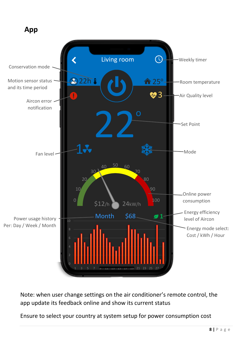

Note: when user change settings on the air conditioner's remote control, the app update its feedback online and show its current status

Ensure to select your country at system setup for power consumption cost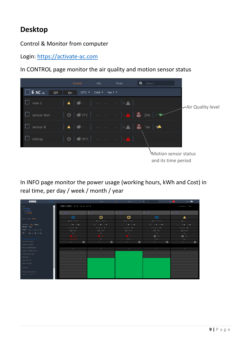## **Desktop**

Control & Monitor from computer

Login: [https://activate-ac.com](https://activate-ac.com/)

In CONTROL page monitor the air quality and motion sensor status



In INFO page monitor the power usage (working hours, kWh and Cost) in real time, per day / week / month / year

| Arconet                              | <b>LED FROM</b> |                                                                   | Cortrol                                                                 | teres.<br>Tener.                                                  | Q Search                                                                | Setup <sup>(*</sup><br>14.11                                                      |
|--------------------------------------|-----------------|-------------------------------------------------------------------|-------------------------------------------------------------------------|-------------------------------------------------------------------|-------------------------------------------------------------------------|-----------------------------------------------------------------------------------|
| test<br>$-11$ EKON                   |                 | Off On $25^\circ$ $\nabla$ Cold $\nabla$ Fast $\nabla$            |                                                                         |                                                                   |                                                                         | Air conditioner Switch                                                            |
| $>12$ EKON<br>$>13$ EKON             |                 | $\Box$ sessor 2                                                   | 日 11                                                                    | $\Box$ May                                                        | 日にね                                                                     | $\Box$ - tests.                                                                   |
| Cost Kuh Hours                       |                 | Φ                                                                 | Φ                                                                       | ധ                                                                 | $\phi$                                                                  | Δ                                                                                 |
|                                      |                 | ₩26°C   19°C F 3                                                  | W26/C   25/CF1                                                          | ₩26°C   25°C F1                                                   | W24/C   IS/CFS                                                          | $W = 1 + 1$                                                                       |
| Realtime Day Meek                    |                 | $\omega = 10$ $\blacktriangleright$ $-1.01$ $\blacktriangleright$ | $\Box$ $\Box$ $\blacktriangleright$ $\bot$ $\blacktriangleright$ $\bot$ | $\omega = -12 \ \blacktriangleright \ \ 12 \ \blacktriangleright$ | $\Box$ $\Box$ $\blacktriangleright$ $\bot$ $\blacktriangleright$ $\bot$ | $\mathcal{S} = 10 \ \blacktriangleright \ \mathcal{R} = 12 \ \blacktriangleright$ |
| Month Year                           |                 | $T$ $TVP50$ $D$                                                   | $T = 0.0750$                                                            | $T = 205/750$                                                     | $T = 52/750$                                                            | $T$ 0/750 $T$                                                                     |
| From: $w = -Mw = 2020$               |                 | $\Box$ tám                                                        | 自 7 days                                                                | $\Box$ 22 days                                                    | $\frac{153}{240}$ 7 days                                                | 图 15 days                                                                         |
| $\overline{100}$ = $13 - 100 - 2000$ |                 | GR                                                                | <b>CR</b>                                                               | $\mathcal{G}^{\mathcal{L}}$                                       | <b>GR</b>                                                               | $\mathbb{P} S$ .                                                                  |
|                                      |                 | ) 379                                                             |                                                                         |                                                                   | $\mathbf{O}$ 0/0                                                        | $\mathbf{0}$ $\circ$ / $\circ$                                                    |
| developed fides@cottook.com          |                 | 1094-1091                                                         | ON                                                                      | 1600m                                                             | <b>NOON</b>                                                             | 12W                                                                               |
| Account: Admin                       |                 | $\bullet$<br>$94 -$                                               | $\bullet$<br>$\mathbf{p}_{\mathrm{F}}$ .                                | $\bullet$<br>$95 -$                                               | $\bullet$<br>$\mathrm{PF} \rightarrow$                                  | $94-$<br>$\bullet$                                                                |
| Name: L3 EKON                        |                 |                                                                   |                                                                         |                                                                   |                                                                         |                                                                                   |
| Phone: 0989962862                    |                 | $^{(1)}$                                                          | $\sim$                                                                  | $128 -$                                                           | $^{22}$                                                                 | $^{(1)}$                                                                          |
| Address: EKON Street                 |                 |                                                                   |                                                                         |                                                                   |                                                                         |                                                                                   |
| PM Country: Italy                    |                 |                                                                   |                                                                         |                                                                   |                                                                         |                                                                                   |
| PM Unit: S                           |                 |                                                                   |                                                                         |                                                                   |                                                                         |                                                                                   |
| Peak kW: 201                         |                 |                                                                   |                                                                         |                                                                   |                                                                         |                                                                                   |
| Size: 125 sqm                        |                 |                                                                   |                                                                         |                                                                   |                                                                         |                                                                                   |
| Location:                            |                 |                                                                   |                                                                         |                                                                   |                                                                         |                                                                                   |
|                                      |                 |                                                                   |                                                                         |                                                                   |                                                                         |                                                                                   |
| Hazard temperature                   |                 |                                                                   |                                                                         |                                                                   |                                                                         |                                                                                   |
| Mix 175 W Max 325 W                  |                 |                                                                   |                                                                         |                                                                   |                                                                         |                                                                                   |
|                                      |                 |                                                                   |                                                                         |                                                                   |                                                                         |                                                                                   |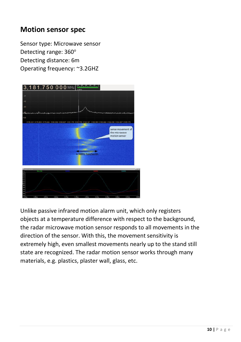#### **Motion sensor spec**

Sensor type: Microwave sensor Detecting range: 360° Detecting distance: 6m Operating frequency: ~3.2GHZ



Unlike passive infrared motion alarm unit, which only registers objects at a temperature difference with respect to the background, the radar microwave motion sensor responds to all movements in the direction of the sensor. With this, the movement sensitivity is extremely high, even smallest movements nearly up to the stand still state are recognized. The radar motion sensor works through many materials, e.g. plastics, plaster wall, glass, etc.